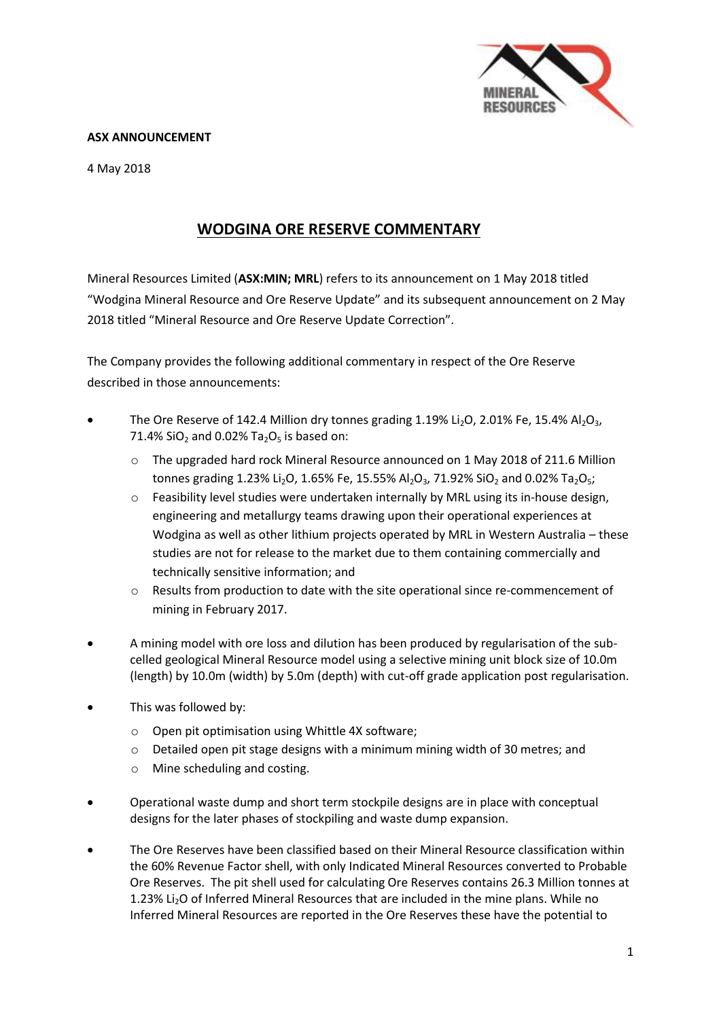

## **ASX ANNOUNCEMENT**

4 May 2018

# **WODGINA ORE RESERVE COMMENTARY**

Mineral Resources Limited (**ASX:MIN; MRL**) refers to its announcement on 1 May 2018 titled "Wodgina Mineral Resource and Ore Reserve Update" and its subsequent announcement on 2 May 2018 titled "Mineral Resource and Ore Reserve Update Correction".

The Company provides the following additional commentary in respect of the Ore Reserve described in those announcements:

- The Ore Reserve of 142.4 Million dry tonnes grading  $1.19\%$  Li<sub>2</sub>O,  $2.01\%$  Fe,  $15.4\%$  Al<sub>2</sub>O<sub>3</sub>, 71.4% SiO<sub>2</sub> and 0.02% Ta<sub>2</sub>O<sub>5</sub> is based on:
	- o The upgraded hard rock Mineral Resource announced on 1 May 2018 of 211.6 Million tonnes grading 1.23% Li<sub>2</sub>O, 1.65% Fe, 15.55% Al<sub>2</sub>O<sub>3</sub>, 71.92% SiO<sub>2</sub> and 0.02% Ta<sub>2</sub>O<sub>5</sub>;
	- o Feasibility level studies were undertaken internally by MRL using its in-house design, engineering and metallurgy teams drawing upon their operational experiences at Wodgina as well as other lithium projects operated by MRL in Western Australia – these studies are not for release to the market due to them containing commercially and technically sensitive information; and
	- o Results from production to date with the site operational since re-commencement of mining in February 2017.
- A mining model with ore loss and dilution has been produced by regularisation of the subcelled geological Mineral Resource model using a selective mining unit block size of 10.0m (length) by 10.0m (width) by 5.0m (depth) with cut-off grade application post regularisation.
- This was followed by:
	- o Open pit optimisation using Whittle 4X software;
	- $\circ$  Detailed open pit stage designs with a minimum mining width of 30 metres; and
	- o Mine scheduling and costing.
- Operational waste dump and short term stockpile designs are in place with conceptual designs for the later phases of stockpiling and waste dump expansion.
- The Ore Reserves have been classified based on their Mineral Resource classification within the 60% Revenue Factor shell, with only Indicated Mineral Resources converted to Probable Ore Reserves. The pit shell used for calculating Ore Reserves contains 26.3 Million tonnes at 1.23% Li<sub>2</sub>O of Inferred Mineral Resources that are included in the mine plans. While no Inferred Mineral Resources are reported in the Ore Reserves these have the potential to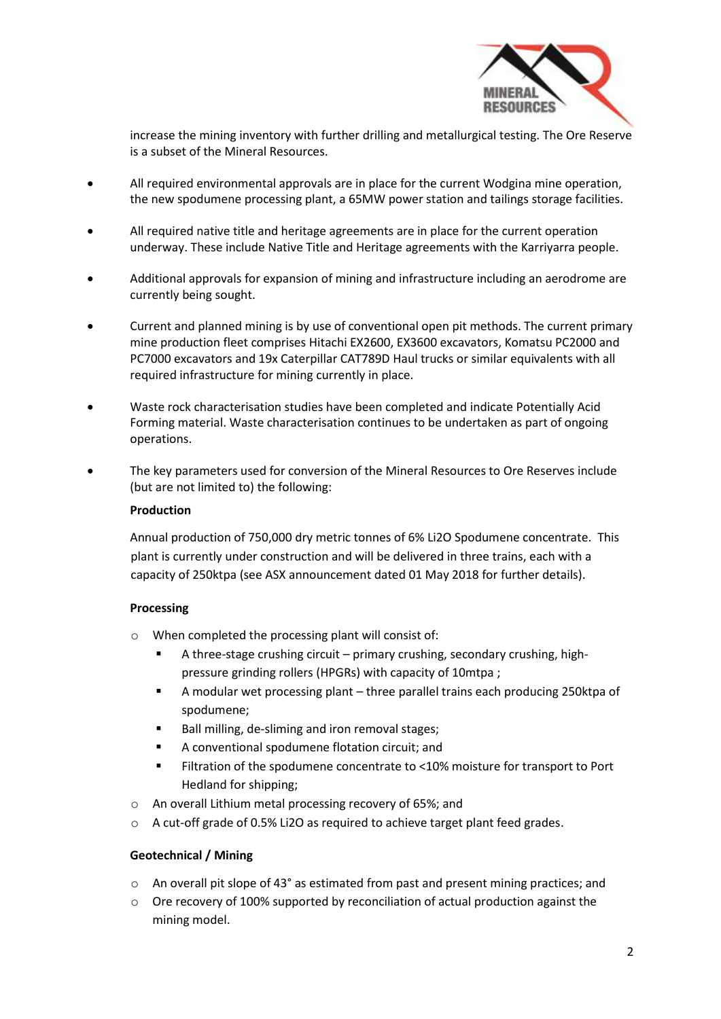

increase the mining inventory with further drilling and metallurgical testing. The Ore Reserve is a subset of the Mineral Resources.

- All required environmental approvals are in place for the current Wodgina mine operation, the new spodumene processing plant, a 65MW power station and tailings storage facilities.
- All required native title and heritage agreements are in place for the current operation underway. These include Native Title and Heritage agreements with the Karriyarra people.
- Additional approvals for expansion of mining and infrastructure including an aerodrome are currently being sought.
- Current and planned mining is by use of conventional open pit methods. The current primary mine production fleet comprises Hitachi EX2600, EX3600 excavators, Komatsu PC2000 and PC7000 excavators and 19x Caterpillar CAT789D Haul trucks or similar equivalents with all required infrastructure for mining currently in place.
- Waste rock characterisation studies have been completed and indicate Potentially Acid Forming material. Waste characterisation continues to be undertaken as part of ongoing operations.
- The key parameters used for conversion of the Mineral Resources to Ore Reserves include (but are not limited to) the following:

#### **Production**

Annual production of 750,000 dry metric tonnes of 6% Li2O Spodumene concentrate. This plant is currently under construction and will be delivered in three trains, each with a capacity of 250ktpa (see ASX announcement dated 01 May 2018 for further details).

#### **Processing**

- o When completed the processing plant will consist of:
	- A three-stage crushing circuit primary crushing, secondary crushing, highpressure grinding rollers (HPGRs) with capacity of 10mtpa ;
	- A modular wet processing plant three parallel trains each producing 250ktpa of spodumene;
	- Ball milling, de-sliming and iron removal stages;
	- A conventional spodumene flotation circuit; and
	- Filtration of the spodumene concentrate to <10% moisture for transport to Port Hedland for shipping;
- o An overall Lithium metal processing recovery of 65%; and
- o A cut-off grade of 0.5% Li2O as required to achieve target plant feed grades.

#### **Geotechnical / Mining**

- o An overall pit slope of 43° as estimated from past and present mining practices; and
- $\circ$  Ore recovery of 100% supported by reconciliation of actual production against the mining model.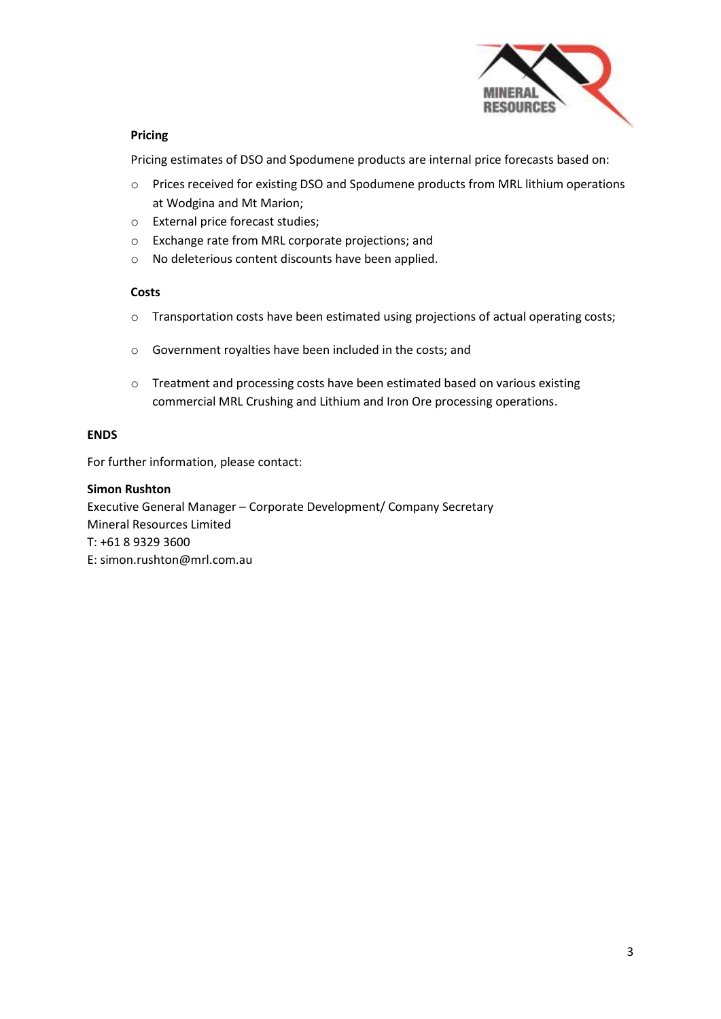

## **Pricing**

Pricing estimates of DSO and Spodumene products are internal price forecasts based on:

- o Prices received for existing DSO and Spodumene products from MRL lithium operations at Wodgina and Mt Marion;
- o External price forecast studies;
- o Exchange rate from MRL corporate projections; and
- o No deleterious content discounts have been applied.

#### **Costs**

- o Transportation costs have been estimated using projections of actual operating costs;
- o Government royalties have been included in the costs; and
- o Treatment and processing costs have been estimated based on various existing commercial MRL Crushing and Lithium and Iron Ore processing operations.

## **ENDS**

For further information, please contact:

#### **Simon Rushton**

Executive General Manager – Corporate Development/ Company Secretary Mineral Resources Limited T: +61 8 9329 3600 E: simon.rushton@mrl.com.au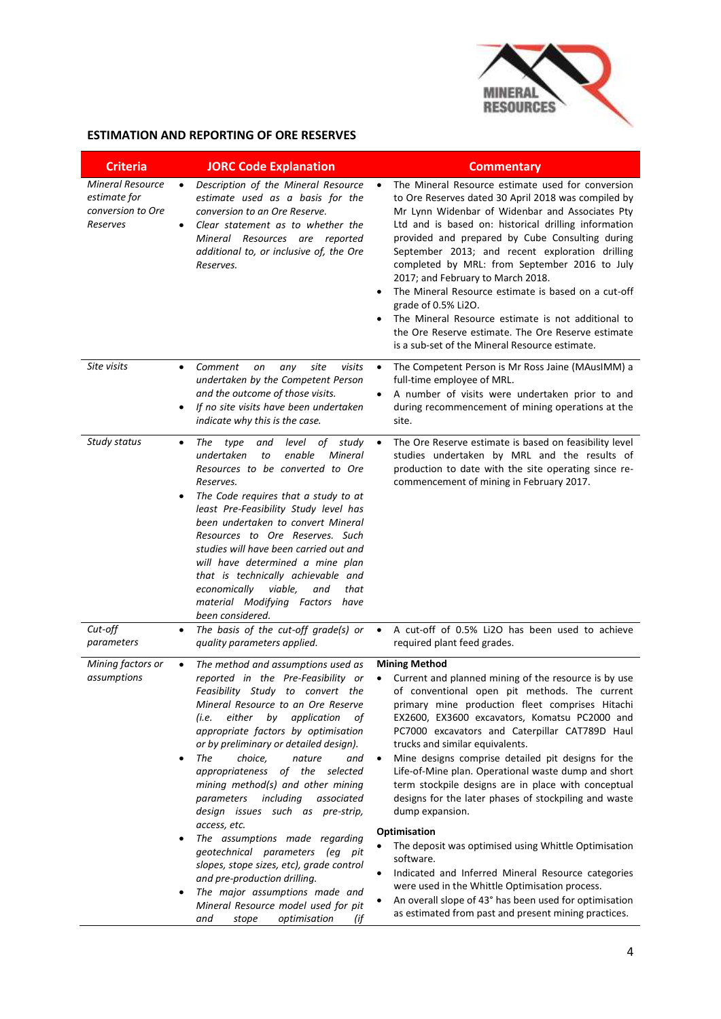

## **ESTIMATION AND REPORTING OF ORE RESERVES**

| <b>Criteria</b>                                                          | <b>JORC Code Explanation</b>                                                                                                                                                                                                                                                                                                                                                                                                                                                                                                                                                                                                                                                                                                                                                                             | <b>Commentary</b>                                                                                                                                                                                                                                                                                                                                                                                                                                                                                                                                                                                                                                                                                                                                                                                                                                                                                                            |
|--------------------------------------------------------------------------|----------------------------------------------------------------------------------------------------------------------------------------------------------------------------------------------------------------------------------------------------------------------------------------------------------------------------------------------------------------------------------------------------------------------------------------------------------------------------------------------------------------------------------------------------------------------------------------------------------------------------------------------------------------------------------------------------------------------------------------------------------------------------------------------------------|------------------------------------------------------------------------------------------------------------------------------------------------------------------------------------------------------------------------------------------------------------------------------------------------------------------------------------------------------------------------------------------------------------------------------------------------------------------------------------------------------------------------------------------------------------------------------------------------------------------------------------------------------------------------------------------------------------------------------------------------------------------------------------------------------------------------------------------------------------------------------------------------------------------------------|
| <b>Mineral Resource</b><br>estimate for<br>conversion to Ore<br>Reserves | Description of the Mineral Resource<br>$\bullet$<br>estimate used as a basis for the<br>conversion to an Ore Reserve.<br>Clear statement as to whether the<br>$\bullet$<br>Mineral Resources are reported<br>additional to, or inclusive of, the Ore<br>Reserves.                                                                                                                                                                                                                                                                                                                                                                                                                                                                                                                                        | The Mineral Resource estimate used for conversion<br>$\bullet$<br>to Ore Reserves dated 30 April 2018 was compiled by<br>Mr Lynn Widenbar of Widenbar and Associates Pty<br>Ltd and is based on: historical drilling information<br>provided and prepared by Cube Consulting during<br>September 2013; and recent exploration drilling<br>completed by MRL: from September 2016 to July<br>2017; and February to March 2018.<br>The Mineral Resource estimate is based on a cut-off<br>grade of 0.5% Li2O.<br>The Mineral Resource estimate is not additional to<br>the Ore Reserve estimate. The Ore Reserve estimate<br>is a sub-set of the Mineral Resource estimate.                                                                                                                                                                                                                                                     |
| Site visits                                                              | Comment<br>site<br>visits<br>on<br>any<br>$\bullet$<br>undertaken by the Competent Person<br>and the outcome of those visits.<br>If no site visits have been undertaken<br>$\bullet$<br>indicate why this is the case.                                                                                                                                                                                                                                                                                                                                                                                                                                                                                                                                                                                   | The Competent Person is Mr Ross Jaine (MAusIMM) a<br>$\bullet$<br>full-time employee of MRL.<br>A number of visits were undertaken prior to and<br>$\bullet$<br>during recommencement of mining operations at the<br>site.                                                                                                                                                                                                                                                                                                                                                                                                                                                                                                                                                                                                                                                                                                   |
| Study status                                                             | level of<br>The<br>type<br>and<br>study<br>$\bullet$<br>undertaken<br>enable<br>Mineral<br>to<br>Resources to be converted to Ore<br>Reserves.<br>The Code requires that a study to at<br>$\bullet$<br>least Pre-Feasibility Study level has<br>been undertaken to convert Mineral<br>Resources to Ore Reserves. Such<br>studies will have been carried out and<br>will have determined a mine plan<br>that is technically achievable and<br>viable,<br>that<br>economically<br>and<br>material Modifying Factors have<br>been considered.                                                                                                                                                                                                                                                               | The Ore Reserve estimate is based on feasibility level<br>$\bullet$<br>studies undertaken by MRL and the results of<br>production to date with the site operating since re-<br>commencement of mining in February 2017.                                                                                                                                                                                                                                                                                                                                                                                                                                                                                                                                                                                                                                                                                                      |
| Cut-off<br>parameters                                                    | The basis of the cut-off grade(s) or<br>$\bullet$<br>quality parameters applied.                                                                                                                                                                                                                                                                                                                                                                                                                                                                                                                                                                                                                                                                                                                         | A cut-off of 0.5% Li2O has been used to achieve<br>$\bullet$<br>required plant feed grades.                                                                                                                                                                                                                                                                                                                                                                                                                                                                                                                                                                                                                                                                                                                                                                                                                                  |
| Mining factors or<br>assumptions                                         | The method and assumptions used as<br>$\bullet$<br>reported in the Pre-Feasibility or<br>Feasibility Study to convert the<br>Mineral Resource to an Ore Reserve<br>either by application<br>(i.e.<br>οf<br>appropriate factors by optimisation<br>or by preliminary or detailed design).<br>The<br>choice,<br>nature<br>and<br>$\bullet$<br>appropriateness of the selected<br>mining method(s) and other mining<br>including<br>parameters<br>associated<br>design issues such as pre-strip,<br>access, etc.<br>The assumptions made regarding<br>$\bullet$<br>geotechnical parameters (eg pit<br>slopes, stope sizes, etc), grade control<br>and pre-production drilling.<br>The major assumptions made and<br>$\bullet$<br>Mineral Resource model used for pit<br>optimisation<br>and<br>stope<br>(if | <b>Mining Method</b><br>Current and planned mining of the resource is by use<br>$\bullet$<br>of conventional open pit methods. The current<br>primary mine production fleet comprises Hitachi<br>EX2600, EX3600 excavators, Komatsu PC2000 and<br>PC7000 excavators and Caterpillar CAT789D Haul<br>trucks and similar equivalents.<br>Mine designs comprise detailed pit designs for the<br>$\bullet$<br>Life-of-Mine plan. Operational waste dump and short<br>term stockpile designs are in place with conceptual<br>designs for the later phases of stockpiling and waste<br>dump expansion.<br>Optimisation<br>The deposit was optimised using Whittle Optimisation<br>software.<br>Indicated and Inferred Mineral Resource categories<br>$\bullet$<br>were used in the Whittle Optimisation process.<br>An overall slope of 43° has been used for optimisation<br>as estimated from past and present mining practices. |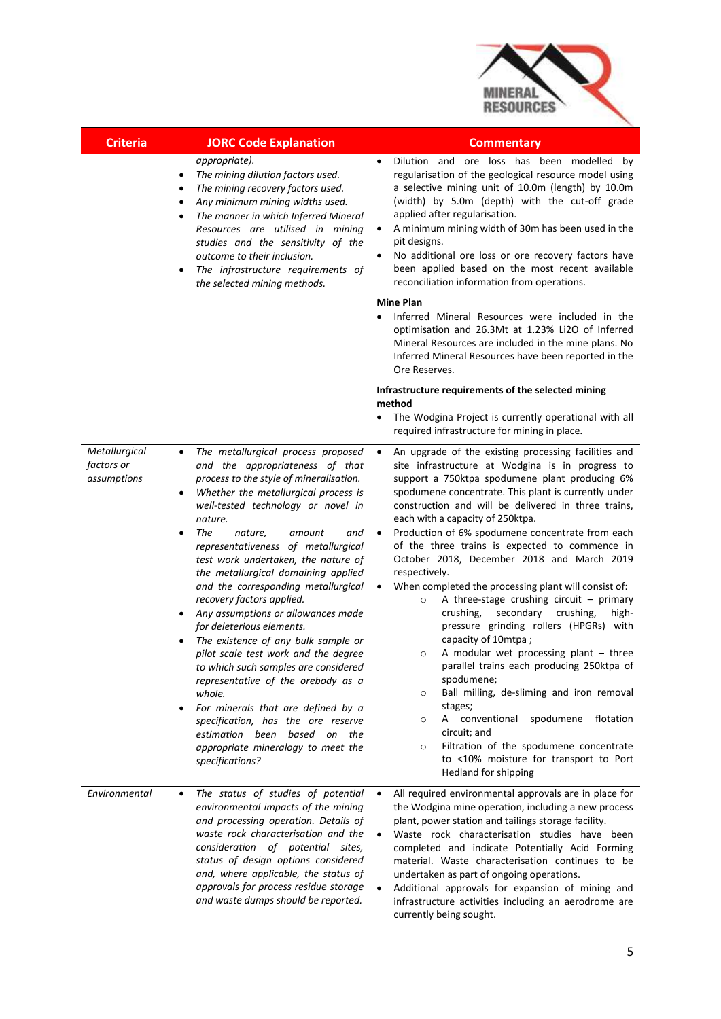

| <b>Criteria</b> | <b>JORC Code Explanation</b> | <b>Commentary</b> |
|-----------------|------------------------------|-------------------|
|-----------------|------------------------------|-------------------|

#### *appropriate).*

- *The mining dilution factors used.*
- *The mining recovery factors used.*
- *Any minimum mining widths used.*
- *The manner in which Inferred Mineral Resources are utilised in mining studies and the sensitivity of the outcome to their inclusion.*
- *The infrastructure requirements of the selected mining methods.*
- Dilution and ore loss has been modelled by regularisation of the geological resource model using a selective mining unit of 10.0m (length) by 10.0m (width) by 5.0m (depth) with the cut-off grade applied after regularisation.
- A minimum mining width of 30m has been used in the pit designs.
- No additional ore loss or ore recovery factors have been applied based on the most recent available reconciliation information from operations.

#### **Mine Plan**

 Inferred Mineral Resources were included in the optimisation and 26.3Mt at 1.23% Li2O of Inferred Mineral Resources are included in the mine plans. No Inferred Mineral Resources have been reported in the Ore Reserves.

#### **Infrastructure requirements of the selected mining method**

 The Wodgina Project is currently operational with all required infrastructure for mining in place.

*Metallurgical factors or assumptions*

- *The metallurgical process proposed and the appropriateness of that process to the style of mineralisation.*
- *Whether the metallurgical process is well-tested technology or novel in nature.*
- *The nature, amount and representativeness of metallurgical test work undertaken, the nature of the metallurgical domaining applied and the corresponding metallurgical recovery factors applied.*
- *Any assumptions or allowances made for deleterious elements.*
- *The existence of any bulk sample or pilot scale test work and the degree to which such samples are considered representative of the orebody as a whole.*
- *For minerals that are defined by a specification, has the ore reserve estimation been based on the appropriate mineralogy to meet the specifications?*
- An upgrade of the existing processing facilities and site infrastructure at Wodgina is in progress to support a 750ktpa spodumene plant producing 6% spodumene concentrate. This plant is currently under construction and will be delivered in three trains, each with a capacity of 250ktpa.
- Production of 6% spodumene concentrate from each of the three trains is expected to commence in October 2018, December 2018 and March 2019 respectively.
- When completed the processing plant will consist of:
	- o A three-stage crushing circuit primary crushing, secondary crushing, highpressure grinding rollers (HPGRs) with capacity of 10mtpa ;
	- $\circ$  A modular wet processing plant three parallel trains each producing 250ktpa of spodumene;
	- o Ball milling, de-sliming and iron removal stages;
	- o A conventional spodumene flotation circuit; and
	- o Filtration of the spodumene concentrate to <10% moisture for transport to Port Hedland for shipping

*Environmental The status of studies of potential environmental impacts of the mining and processing operation. Details of waste rock characterisation and the consideration of potential sites, status of design options considered and, where applicable, the status of approvals for process residue storage and waste dumps should be reported.* All required environmental approvals are in place for the Wodgina mine operation, including a new process plant, power station and tailings storage facility. Waste rock characterisation studies have been completed and indicate Potentially Acid Forming material. Waste characterisation continues to be undertaken as part of ongoing operations. Additional approvals for expansion of mining and infrastructure activities including an aerodrome are currently being sought.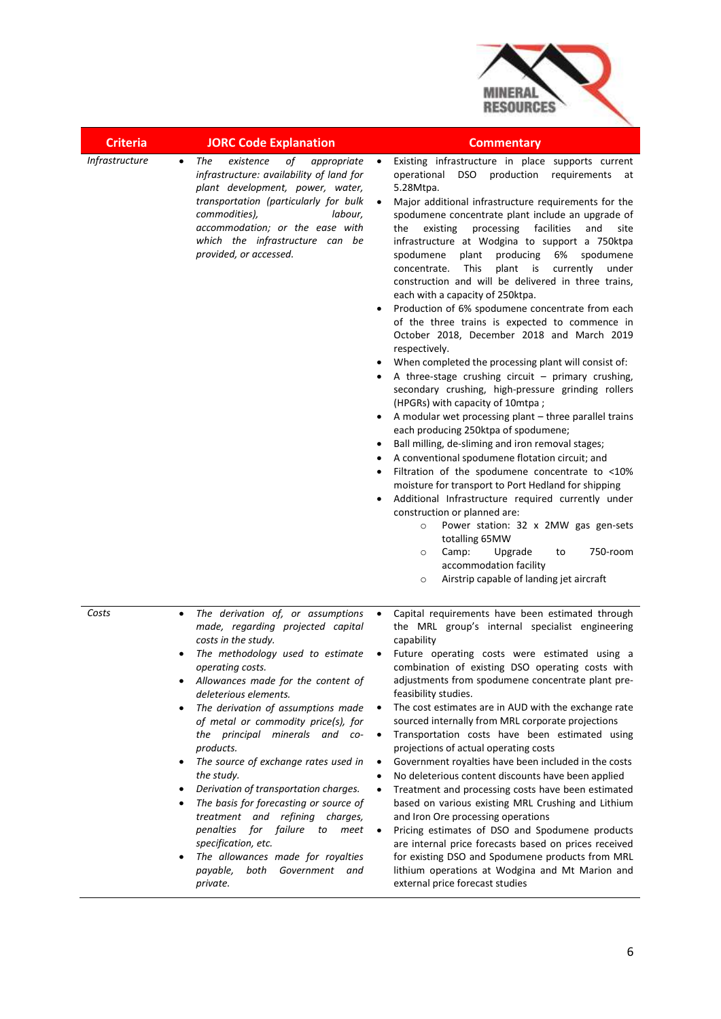

| <b>Criteria</b> | <b>JORC Code Explanation</b>                                                                                                                                                                                                                                                                                                                                                                                                                                                                                                                                                                                                                                                                                                | <b>Commentary</b>                                                                                                                                                                                                                                                                                                                                                                                                                                                                                                                                                                                                                                                                                                                                                                                                                                                                                                                                                                                                                                                                                                                                                                                                                                                                                                                                                                                                                                                                                                                                                                                    |
|-----------------|-----------------------------------------------------------------------------------------------------------------------------------------------------------------------------------------------------------------------------------------------------------------------------------------------------------------------------------------------------------------------------------------------------------------------------------------------------------------------------------------------------------------------------------------------------------------------------------------------------------------------------------------------------------------------------------------------------------------------------|------------------------------------------------------------------------------------------------------------------------------------------------------------------------------------------------------------------------------------------------------------------------------------------------------------------------------------------------------------------------------------------------------------------------------------------------------------------------------------------------------------------------------------------------------------------------------------------------------------------------------------------------------------------------------------------------------------------------------------------------------------------------------------------------------------------------------------------------------------------------------------------------------------------------------------------------------------------------------------------------------------------------------------------------------------------------------------------------------------------------------------------------------------------------------------------------------------------------------------------------------------------------------------------------------------------------------------------------------------------------------------------------------------------------------------------------------------------------------------------------------------------------------------------------------------------------------------------------------|
| Infrastructure  | of<br>The<br>existence<br>appropriate<br>$\bullet$<br>infrastructure: availability of land for<br>plant development, power, water,<br>transportation (particularly for bulk<br>commodities),<br>labour,<br>accommodation; or the ease with<br>which the infrastructure can be<br>provided, or accessed.                                                                                                                                                                                                                                                                                                                                                                                                                     | Existing infrastructure in place supports current<br>$\bullet$<br><b>DSO</b><br>production<br>operational<br>requirements<br>at<br>5.28Mtpa.<br>Major additional infrastructure requirements for the<br>$\bullet$<br>spodumene concentrate plant include an upgrade of<br>processing<br>facilities<br>and<br>the<br>existing<br>site<br>infrastructure at Wodgina to support a 750ktpa<br>producing<br>6%<br>spodumene<br>plant<br>spodumene<br>concentrate.<br>This<br>plant<br>currently<br>is<br>under<br>construction and will be delivered in three trains,<br>each with a capacity of 250ktpa.<br>Production of 6% spodumene concentrate from each<br>of the three trains is expected to commence in<br>October 2018, December 2018 and March 2019<br>respectively.<br>When completed the processing plant will consist of:<br>A three-stage crushing circuit $-$ primary crushing,<br>secondary crushing, high-pressure grinding rollers<br>(HPGRs) with capacity of 10mtpa;<br>A modular wet processing plant - three parallel trains<br>each producing 250ktpa of spodumene;<br>Ball milling, de-sliming and iron removal stages;<br>A conventional spodumene flotation circuit; and<br>Filtration of the spodumene concentrate to <10%<br>moisture for transport to Port Hedland for shipping<br>Additional Infrastructure required currently under<br>construction or planned are:<br>Power station: 32 x 2MW gas gen-sets<br>$\circ$<br>totalling 65MW<br>Camp:<br>Upgrade<br>750-room<br>to<br>$\circ$<br>accommodation facility<br>Airstrip capable of landing jet aircraft<br>$\circ$ |
| Costs           | The derivation of, or assumptions<br>$\bullet$<br>made, regarding projected capital<br>costs in the study.<br>The methodology used to estimate<br>operating costs.<br>Allowances made for the content of<br>deleterious elements.<br>The derivation of assumptions made<br>$\bullet$<br>of metal or commodity price(s), for<br>the principal minerals and co-<br>products.<br>The source of exchange rates used in<br>the study.<br>Derivation of transportation charges.<br>The basis for forecasting or source of<br>$\bullet$<br>treatment and refining charges,<br>for failure<br>penalties<br>to<br>meet<br>specification, etc.<br>The allowances made for royalties<br>both<br>Government and<br>payable,<br>private. | Capital requirements have been estimated through<br>$\bullet$<br>the MRL group's internal specialist engineering<br>capability<br>Future operating costs were estimated using a<br>combination of existing DSO operating costs with<br>adjustments from spodumene concentrate plant pre-<br>feasibility studies.<br>The cost estimates are in AUD with the exchange rate<br>$\bullet$<br>sourced internally from MRL corporate projections<br>Transportation costs have been estimated using<br>$\bullet$<br>projections of actual operating costs<br>Government royalties have been included in the costs<br>$\bullet$<br>No deleterious content discounts have been applied<br>$\bullet$<br>Treatment and processing costs have been estimated<br>$\bullet$<br>based on various existing MRL Crushing and Lithium<br>and Iron Ore processing operations<br>Pricing estimates of DSO and Spodumene products<br>$\bullet$<br>are internal price forecasts based on prices received<br>for existing DSO and Spodumene products from MRL<br>lithium operations at Wodgina and Mt Marion and<br>external price forecast studies                                                                                                                                                                                                                                                                                                                                                                                                                                                                         |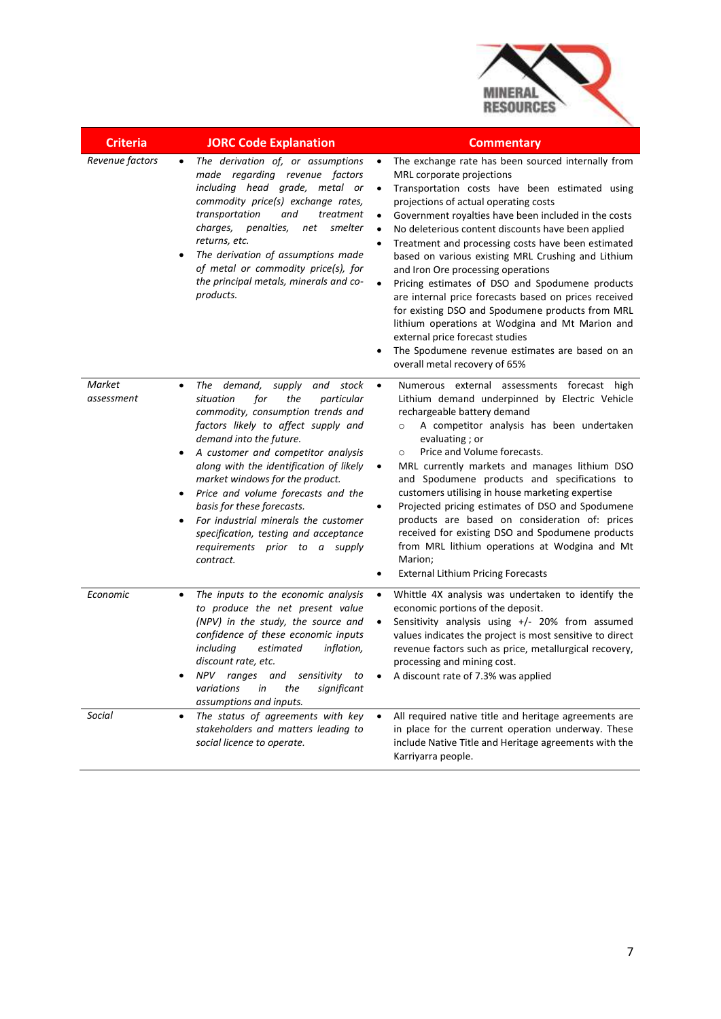

| <b>Criteria</b>      | <b>JORC Code Explanation</b>                                                                                                                                                                                                                                                                                                                                                                                                                                                                                                                           | <b>Commentary</b>                                                                                                                                                                                                                                                                                                                                                                                                                                                                                                                                                                                                                                                                                                                                                                                                                                                  |
|----------------------|--------------------------------------------------------------------------------------------------------------------------------------------------------------------------------------------------------------------------------------------------------------------------------------------------------------------------------------------------------------------------------------------------------------------------------------------------------------------------------------------------------------------------------------------------------|--------------------------------------------------------------------------------------------------------------------------------------------------------------------------------------------------------------------------------------------------------------------------------------------------------------------------------------------------------------------------------------------------------------------------------------------------------------------------------------------------------------------------------------------------------------------------------------------------------------------------------------------------------------------------------------------------------------------------------------------------------------------------------------------------------------------------------------------------------------------|
| Revenue factors      | The derivation of, or assumptions<br>$\bullet$<br>made regarding revenue factors<br>including head grade, metal or<br>commodity price(s) exchange rates,<br>transportation<br>and<br>treatment<br>charges,<br>penalties,<br>smelter<br>net<br>returns, etc.<br>The derivation of assumptions made<br>$\bullet$<br>of metal or commodity price(s), for<br>the principal metals, minerals and co-<br>products.                                                                                                                                           | The exchange rate has been sourced internally from<br>$\bullet$<br>MRL corporate projections<br>Transportation costs have been estimated using<br>$\bullet$<br>projections of actual operating costs<br>Government royalties have been included in the costs<br>$\bullet$<br>No deleterious content discounts have been applied<br>$\bullet$<br>Treatment and processing costs have been estimated<br>$\bullet$<br>based on various existing MRL Crushing and Lithium<br>and Iron Ore processing operations<br>Pricing estimates of DSO and Spodumene products<br>$\bullet$<br>are internal price forecasts based on prices received<br>for existing DSO and Spodumene products from MRL<br>lithium operations at Wodgina and Mt Marion and<br>external price forecast studies<br>The Spodumene revenue estimates are based on an<br>overall metal recovery of 65% |
| Market<br>assessment | The demand,<br>supply<br>and stock<br>٠<br>for<br>situation<br>the<br>particular<br>commodity, consumption trends and<br>factors likely to affect supply and<br>demand into the future.<br>A customer and competitor analysis<br>$\bullet$<br>along with the identification of likely<br>market windows for the product.<br>Price and volume forecasts and the<br>$\bullet$<br>basis for these forecasts.<br>For industrial minerals the customer<br>$\bullet$<br>specification, testing and acceptance<br>requirements prior to a supply<br>contract. | Numerous external assessments forecast high<br>$\bullet$<br>Lithium demand underpinned by Electric Vehicle<br>rechargeable battery demand<br>A competitor analysis has been undertaken<br>$\circ$<br>evaluating; or<br>Price and Volume forecasts.<br>$\circ$<br>MRL currently markets and manages lithium DSO<br>$\bullet$<br>and Spodumene products and specifications to<br>customers utilising in house marketing expertise<br>Projected pricing estimates of DSO and Spodumene<br>$\bullet$<br>products are based on consideration of: prices<br>received for existing DSO and Spodumene products<br>from MRL lithium operations at Wodgina and Mt<br>Marion;<br><b>External Lithium Pricing Forecasts</b><br>$\bullet$                                                                                                                                       |
| Economic             | The inputs to the economic analysis<br>$\bullet$<br>to produce the net present value<br>(NPV) in the study, the source and<br>confidence of these economic inputs<br>including<br>estimated<br>inflation,<br>discount rate, etc.<br>NPV ranges and sensitivity<br>to<br>$\bullet$<br>variations<br>significant<br>in<br>the<br>assumptions and inputs.                                                                                                                                                                                                 | Whittle 4X analysis was undertaken to identify the<br>$\bullet$<br>economic portions of the deposit.<br>Sensitivity analysis using +/- 20% from assumed<br>$\bullet$<br>values indicates the project is most sensitive to direct<br>revenue factors such as price, metallurgical recovery,<br>processing and mining cost.<br>A discount rate of 7.3% was applied                                                                                                                                                                                                                                                                                                                                                                                                                                                                                                   |
| <b>Social</b>        | The status of agreements with key<br>$\bullet$<br>stakeholders and matters leading to<br>social licence to operate.                                                                                                                                                                                                                                                                                                                                                                                                                                    | All required native title and heritage agreements are<br>$\bullet$<br>in place for the current operation underway. These<br>include Native Title and Heritage agreements with the<br>Karriyarra people.                                                                                                                                                                                                                                                                                                                                                                                                                                                                                                                                                                                                                                                            |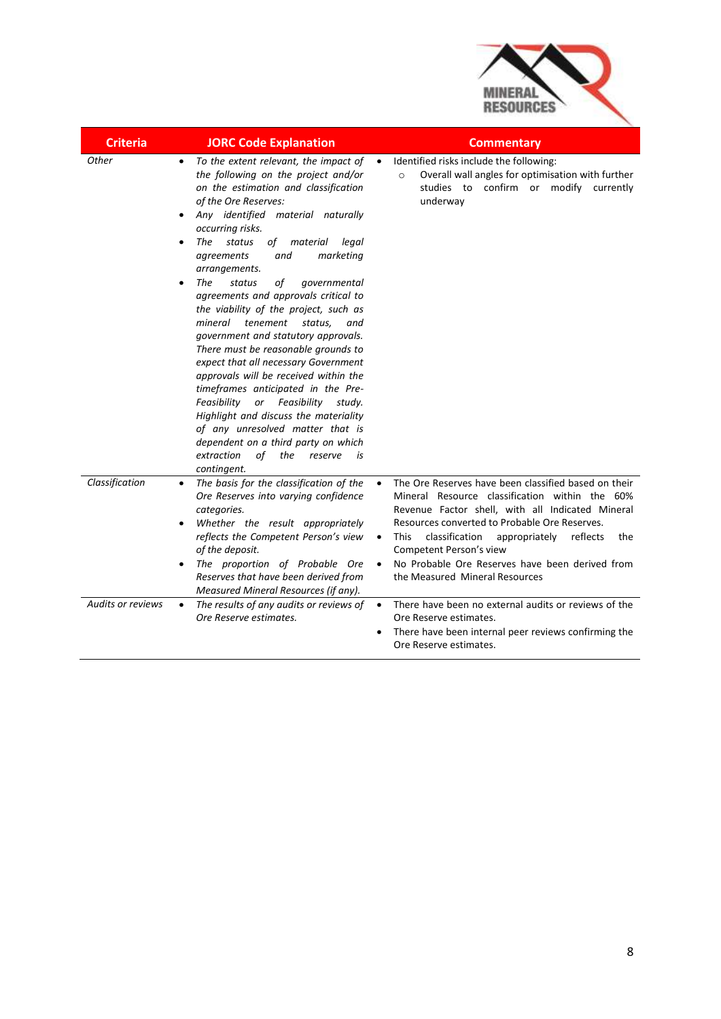

| <b>Criteria</b>          | <b>JORC Code Explanation</b>                                                                                                                                                                                                                                                                                                                                                                                                                                                                                                                                                                                                                                                                                                                                                                                                                                                                                             | <b>Commentary</b>                                                                                                                                                                                                                                                                                                                                                                                                                    |
|--------------------------|--------------------------------------------------------------------------------------------------------------------------------------------------------------------------------------------------------------------------------------------------------------------------------------------------------------------------------------------------------------------------------------------------------------------------------------------------------------------------------------------------------------------------------------------------------------------------------------------------------------------------------------------------------------------------------------------------------------------------------------------------------------------------------------------------------------------------------------------------------------------------------------------------------------------------|--------------------------------------------------------------------------------------------------------------------------------------------------------------------------------------------------------------------------------------------------------------------------------------------------------------------------------------------------------------------------------------------------------------------------------------|
| <b>Other</b>             | To the extent relevant, the impact of<br>$\bullet$<br>the following on the project and/or<br>on the estimation and classification<br>of the Ore Reserves:<br>Any identified material naturally<br>occurring risks.<br>The<br>status<br>of material<br>legal<br>and<br>marketing<br>agreements<br>arrangements.<br>The<br>status<br>of<br>governmental<br>$\bullet$<br>agreements and approvals critical to<br>the viability of the project, such as<br>mineral tenement<br>status,<br>and<br>government and statutory approvals.<br>There must be reasonable grounds to<br>expect that all necessary Government<br>approvals will be received within the<br>timeframes anticipated in the Pre-<br>Feasibility<br>or Feasibility<br>study.<br>Highlight and discuss the materiality<br>of any unresolved matter that is<br>dependent on a third party on which<br>extraction<br>of<br>the<br>reserve<br>is<br>contingent. | Identified risks include the following:<br>$\bullet$<br>Overall wall angles for optimisation with further<br>$\circ$<br>confirm or modify<br>studies to<br>currently<br>underway                                                                                                                                                                                                                                                     |
| Classification           | The basis for the classification of the<br>$\bullet$<br>Ore Reserves into varying confidence<br>categories.<br>Whether the result appropriately<br>reflects the Competent Person's view<br>of the deposit.<br>The proportion of Probable Ore<br>Reserves that have been derived from<br>Measured Mineral Resources (if any).                                                                                                                                                                                                                                                                                                                                                                                                                                                                                                                                                                                             | The Ore Reserves have been classified based on their<br>$\bullet$<br>Mineral Resource classification within the 60%<br>Revenue Factor shell, with all Indicated Mineral<br>Resources converted to Probable Ore Reserves.<br>classification<br><b>This</b><br>appropriately reflects<br>the<br>$\bullet$<br>Competent Person's view<br>No Probable Ore Reserves have been derived from<br>$\bullet$<br>the Measured Mineral Resources |
| <b>Audits or reviews</b> | The results of any audits or reviews of<br>$\bullet$<br>Ore Reserve estimates.                                                                                                                                                                                                                                                                                                                                                                                                                                                                                                                                                                                                                                                                                                                                                                                                                                           | There have been no external audits or reviews of the<br>$\bullet$<br>Ore Reserve estimates.<br>There have been internal peer reviews confirming the<br>Ore Reserve estimates.                                                                                                                                                                                                                                                        |